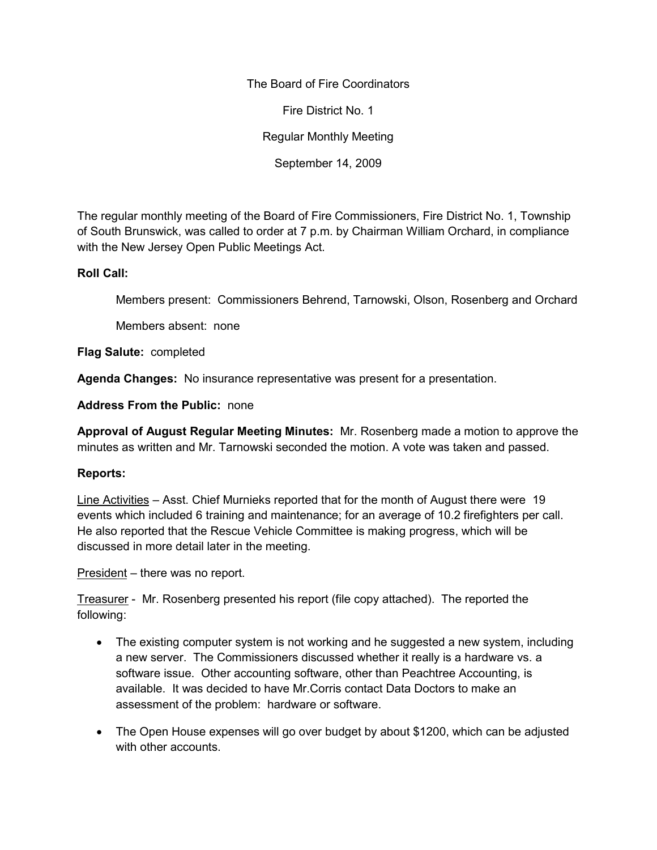The Board of Fire Coordinators

Fire District No. 1

Regular Monthly Meeting

September 14, 2009

The regular monthly meeting of the Board of Fire Commissioners, Fire District No. 1, Township of South Brunswick, was called to order at 7 p.m. by Chairman William Orchard, in compliance with the New Jersey Open Public Meetings Act.

# **Roll Call:**

Members present: Commissioners Behrend, Tarnowski, Olson, Rosenberg and Orchard

Members absent: none

**Flag Salute:** completed

**Agenda Changes:** No insurance representative was present for a presentation.

**Address From the Public:** none

**Approval of August Regular Meeting Minutes:** Mr. Rosenberg made a motion to approve the minutes as written and Mr. Tarnowski seconded the motion. A vote was taken and passed.

# **Reports:**

Line Activities – Asst. Chief Murnieks reported that for the month of August there were 19 events which included 6 training and maintenance; for an average of 10.2 firefighters per call. He also reported that the Rescue Vehicle Committee is making progress, which will be discussed in more detail later in the meeting.

President – there was no report.

Treasurer - Mr. Rosenberg presented his report (file copy attached). The reported the following:

- The existing computer system is not working and he suggested a new system, including a new server. The Commissioners discussed whether it really is a hardware vs. a software issue. Other accounting software, other than Peachtree Accounting, is available. It was decided to have Mr.Corris contact Data Doctors to make an assessment of the problem: hardware or software.
- The Open House expenses will go over budget by about \$1200, which can be adjusted with other accounts.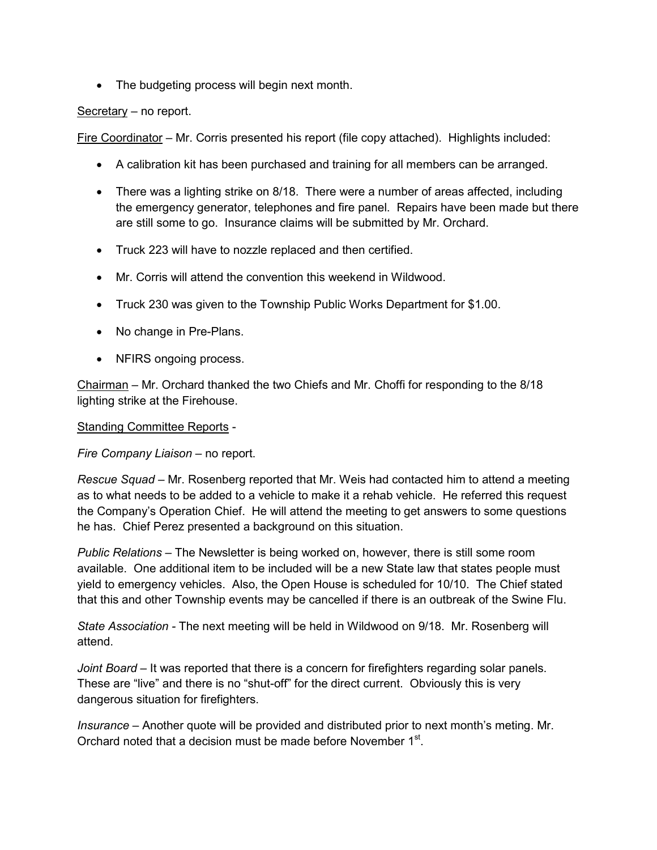The budgeting process will begin next month.

## Secretary – no report.

Fire Coordinator – Mr. Corris presented his report (file copy attached). Highlights included:

- A calibration kit has been purchased and training for all members can be arranged.
- There was a lighting strike on 8/18. There were a number of areas affected, including the emergency generator, telephones and fire panel. Repairs have been made but there are still some to go. Insurance claims will be submitted by Mr. Orchard.
- Truck 223 will have to nozzle replaced and then certified.
- Mr. Corris will attend the convention this weekend in Wildwood.
- Truck 230 was given to the Township Public Works Department for \$1.00.
- No change in Pre-Plans.
- NFIRS ongoing process.

Chairman – Mr. Orchard thanked the two Chiefs and Mr. Choffi for responding to the 8/18 lighting strike at the Firehouse.

Standing Committee Reports -

*Fire Company Liaison –* no report.

*Rescue Squad –* Mr. Rosenberg reported that Mr. Weis had contacted him to attend a meeting as to what needs to be added to a vehicle to make it a rehab vehicle. He referred this request the Company's Operation Chief. He will attend the meeting to get answers to some questions he has. Chief Perez presented a background on this situation.

*Public Relations –* The Newsletter is being worked on, however, there is still some room available. One additional item to be included will be a new State law that states people must yield to emergency vehicles. Also, the Open House is scheduled for 10/10. The Chief stated that this and other Township events may be cancelled if there is an outbreak of the Swine Flu.

*State Association -* The next meeting will be held in Wildwood on 9/18. Mr. Rosenberg will attend.

*Joint Board* – It was reported that there is a concern for firefighters regarding solar panels. These are "live" and there is no "shut-off" for the direct current. Obviously this is very dangerous situation for firefighters.

*Insurance –* Another quote will be provided and distributed prior to next month's meting. Mr. Orchard noted that a decision must be made before November 1<sup>st</sup>.